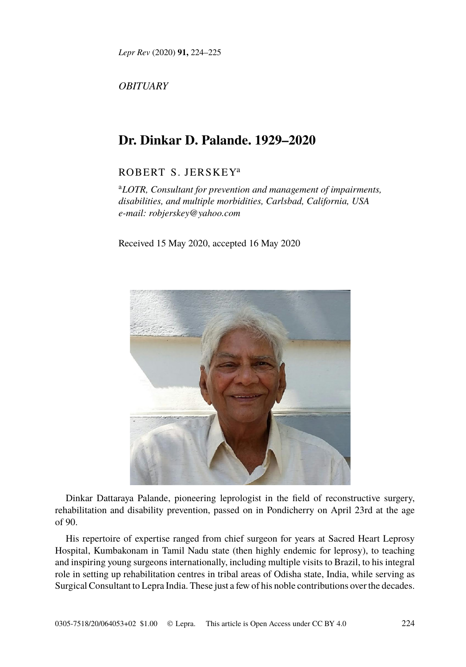*Lepr Rev* (2020) **91,** 224–225

*OBITUARY*

## **Dr. Dinkar D. Palande. 1929–2020**

## ROBERT S. JERSKEY<sup>a</sup>

<sup>a</sup>*LOTR, Consultant for prevention and management of impairments, disabilities, and multiple morbidities, Carlsbad, California, USA e-mail: robjerskey@yahoo.com*

Received 15 May 2020, accepted 16 May 2020



Dinkar Dattaraya Palande, pioneering leprologist in the field of reconstructive surgery, rehabilitation and disability prevention, passed on in Pondicherr[y on Apri](http://creativecommons.org/licenses/by/4.0/)l 23rd at the age of 90.

His repertoire of expertise ranged from chief surgeon for years at Sacred Heart Leprosy Hospital, Kumbakonam in Tamil Nadu state (then highly endemic for leprosy), to teaching and inspiring young surgeons internationally, including multiple visits to Brazil, to his integral role in setting up rehabilitation centres in tribal areas of Odisha state, India, while serving as Surgical Consultant to Lepra India. These just a few of his noble contributions over the decades.